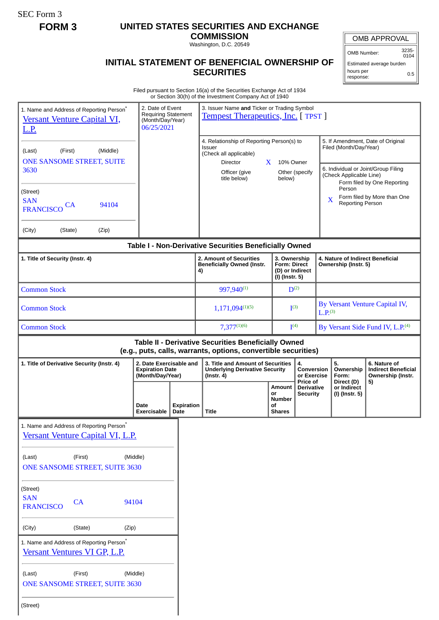SEC Form 3

## **FORM 3 UNITED STATES SECURITIES AND EXCHANGE**

**COMMISSION** Washington, D.C. 20549

## **INITIAL STATEMENT OF BENEFICIAL OWNERSHIP OF SECURITIES**

OMB APPROVAL

OMB Number: 3235- 0104

Estimated average burden hours per response: 0.5

Filed pursuant to Section 16(a) of the Securities Exchange Act of 1934 or Section 30(h) of the Investment Company Act of 1940

| 1. Name and Address of Reporting Person <sup>*</sup>                     |                                                                                  |                           |                                                                                                                                   |                                                                          |                               |                                                                                                                               |                                                                 |
|--------------------------------------------------------------------------|----------------------------------------------------------------------------------|---------------------------|-----------------------------------------------------------------------------------------------------------------------------------|--------------------------------------------------------------------------|-------------------------------|-------------------------------------------------------------------------------------------------------------------------------|-----------------------------------------------------------------|
| <b>Versant Venture Capital VI,</b><br><u>L.P.</u>                        | 2. Date of Event<br><b>Requiring Statement</b><br>(Month/Day/Year)<br>06/25/2021 |                           | 3. Issuer Name and Ticker or Trading Symbol<br><b>Tempest Therapeutics, Inc.</b> [TPST ]                                          |                                                                          |                               |                                                                                                                               |                                                                 |
| (Middle)<br>(First)<br>(Last)<br>ONE SANSOME STREET, SUITE<br>3630       |                                                                                  |                           | 4. Relationship of Reporting Person(s) to<br><b>Issuer</b><br>(Check all applicable)<br>Director<br>Officer (give<br>title below) | $\mathbf{X}$<br>10% Owner<br>below)                                      | Other (specify                | 5. If Amendment, Date of Original<br>Filed (Month/Day/Year)<br>6. Individual or Joint/Group Filing<br>(Check Applicable Line) |                                                                 |
| (Street)<br><b>SAN</b><br>94104<br>CA<br><b>FRANCISCO</b>                |                                                                                  |                           |                                                                                                                                   |                                                                          |                               | Person<br>X<br>Reporting Person                                                                                               | Form filed by One Reporting<br>Form filed by More than One      |
| (City)<br>(Zip)<br>(State)                                               |                                                                                  |                           |                                                                                                                                   |                                                                          |                               |                                                                                                                               |                                                                 |
|                                                                          |                                                                                  |                           | Table I - Non-Derivative Securities Beneficially Owned                                                                            |                                                                          |                               |                                                                                                                               |                                                                 |
| 1. Title of Security (Instr. 4)                                          |                                                                                  |                           | 2. Amount of Securities<br><b>Beneficially Owned (Instr.</b><br>4)                                                                | 3. Ownership<br><b>Form: Direct</b><br>(D) or Indirect<br>(I) (Instr. 5) |                               | 4. Nature of Indirect Beneficial<br>Ownership (Instr. 5)                                                                      |                                                                 |
| <b>Common Stock</b>                                                      |                                                                                  |                           | 997,940(1)                                                                                                                        | $D^{(2)}$                                                                |                               |                                                                                                                               |                                                                 |
| <b>Common Stock</b>                                                      |                                                                                  |                           | $1,171,094^{(1)(5)}$                                                                                                              | $\mathbf{I}^{(3)}$                                                       |                               | By Versant Venture Capital IV,<br>L.P <sub>(3)</sub>                                                                          |                                                                 |
| <b>Common Stock</b>                                                      |                                                                                  |                           | $7,377^{(1)(6)}$                                                                                                                  | I <sup>(4)</sup>                                                         |                               |                                                                                                                               | By Versant Side Fund IV, L.P. <sup>(4)</sup>                    |
|                                                                          |                                                                                  |                           | Table II - Derivative Securities Beneficially Owned<br>(e.g., puts, calls, warrants, options, convertible securities)             |                                                                          |                               |                                                                                                                               |                                                                 |
| 1. Title of Derivative Security (Instr. 4)                               | 2. Date Exercisable and<br><b>Expiration Date</b><br>(Month/Day/Year)            |                           | 3. Title and Amount of Securities<br>4.<br><b>Underlying Derivative Security</b><br>(Instr. 4)                                    |                                                                          | Conversion<br>or Exercise     | 5.<br>Ownership<br>Form:                                                                                                      | 6. Nature of<br><b>Indirect Beneficial</b><br>Ownership (Instr. |
|                                                                          |                                                                                  |                           |                                                                                                                                   | Amount                                                                   | Price of<br><b>Derivative</b> | Direct (D)<br>or Indirect                                                                                                     | 5)                                                              |
|                                                                          | Date<br>Exercisable                                                              | <b>Expiration</b><br>Date | <b>Title</b>                                                                                                                      | or<br><b>Number</b><br>οf<br><b>Shares</b>                               | Security                      | (I) (Instr. 5)                                                                                                                |                                                                 |
| 1. Name and Address of Reporting Person <sup>®</sup>                     |                                                                                  |                           |                                                                                                                                   |                                                                          |                               |                                                                                                                               |                                                                 |
| Versant Venture Capital VI, L.P.                                         |                                                                                  |                           |                                                                                                                                   |                                                                          |                               |                                                                                                                               |                                                                 |
| (First)<br>(Middle)<br>(Last)<br><b>ONE SANSOME STREET, SUITE 3630</b>   |                                                                                  |                           |                                                                                                                                   |                                                                          |                               |                                                                                                                               |                                                                 |
| (Street)<br><b>SAN</b><br>CA<br>94104<br><b>FRANCISCO</b>                |                                                                                  |                           |                                                                                                                                   |                                                                          |                               |                                                                                                                               |                                                                 |
| (City)<br>(State)<br>(Zip)                                               |                                                                                  |                           |                                                                                                                                   |                                                                          |                               |                                                                                                                               |                                                                 |
| 1. Name and Address of Reporting Person*<br>Versant Ventures VI GP, L.P. |                                                                                  |                           |                                                                                                                                   |                                                                          |                               |                                                                                                                               |                                                                 |
| (First)<br>(Middle)<br>(Last)<br>ONE SANSOME STREET, SUITE 3630          |                                                                                  |                           |                                                                                                                                   |                                                                          |                               |                                                                                                                               |                                                                 |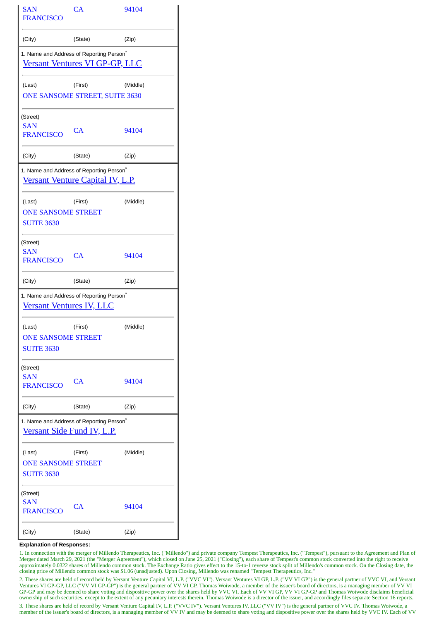| SAN<br>FRANCISCO                                         | CA                                                                                            | 94104    |  |  |
|----------------------------------------------------------|-----------------------------------------------------------------------------------------------|----------|--|--|
| (City)                                                   | (State)                                                                                       | (Zip)    |  |  |
|                                                          | 1. Name and Address of Reporting Person <sup>®</sup><br><b>Versant Ventures VI GP-GP, LLC</b> |          |  |  |
| (Last)                                                   | (First)<br>ONE SANSOME STREET, SUITE 3630                                                     | (Middle) |  |  |
| (Street)<br>SAN<br><b>FRANCISCO</b>                      | CA                                                                                            | 94104    |  |  |
| (City)                                                   | (State)                                                                                       | (Zip)    |  |  |
|                                                          | 1. Name and Address of Reporting Person <sup>*</sup><br>Versant Venture Capital IV, L.P.      |          |  |  |
| (Last)<br><b>ONE SANSOME STREET</b><br><b>SUITE 3630</b> | (First)                                                                                       | (Middle) |  |  |
| (Street)<br>SAN<br><b>FRANCISCO</b>                      | CA                                                                                            | 94104    |  |  |
| (City)                                                   | (State)                                                                                       | (Zip)    |  |  |
|                                                          | 1. Name and Address of Reporting Person <sup>*</sup>                                          |          |  |  |
| <u>Versant Ventures IV, LLC</u>                          |                                                                                               |          |  |  |
| (Last)<br><b>ONE SANSOME STREET</b><br><b>SUITE 3630</b> | (First)                                                                                       | (Middle) |  |  |
| (Street)<br>SAN<br><b>FRANCISCO</b>                      | CA                                                                                            | 94104    |  |  |
| (City)                                                   | (State)                                                                                       | (Zip)    |  |  |
|                                                          | 1. Name and Address of Reporting Person <sup>*</sup><br>Versant Side Fund IV, L.P.            |          |  |  |
| (Last)<br><b>ONE SANSOME STREET</b><br><b>SUITE 3630</b> | (First)                                                                                       | (Middle) |  |  |
| (Street)<br>SAN<br><b>FRANCISCO</b>                      | CA                                                                                            | 94104    |  |  |

## **Explanation of Responses:**

1. In connection with the merger of Millendo Therapeutics, Inc. ("Millendo") and private company Tempest Therapeutics, Inc. ("Tempest"), pursuant to the Agreement and Plan of Merger dated March 29, 2021 (the "Merger Agreement"), which closed on June 25, 2021 ("Closing"), each share of Tempest's common stock converted into the right to receive approximately 0.0322 shares of Millendo common stock. The Exchange Ratio gives effect to the 15-to-1 reverse stock split of Millendo's common stock. On the Closing date, the closing price of Millendo common stock was \$1.06 (unadjusted). Upon Closing, Millendo was renamed "Tempest Therapeutics, Inc."

2. These shares are held of record held by Versant Venture Capital VI, L.P. ("VVC VI"). Versant Ventures VI GP, L.P. ("VV VI GP") is the general partner of VVC VI, and Versant Ventures VI GP-GP, LLC ("VV VI GP-GP") is the general partner of VV VI GP. Thomas Woiwode, a member of the issuer's board of directors, is a managing member of VV VI GP-GP and may be deemed to share voting and dispositive power over the shares held by VVC VI. Each of VV VI GP, VV VI GP-GP and Thomas Woiwode disclaims beneficial ownership of such securities, except to the extent of any pecuniary interests therein. Thomas Woiwode is a director of the issuer, and accordingly files separate Section 16 reports.

3. These shares are held of record by Versant Venture Capital IV, L.P. ("VVC IV"). Versant Ventures IV, LLC ("VV IV") is the general partner of VVC IV. Thomas Woiwode, a member of the issuer's board of directors, is a managing member of VV IV and may be deemed to share voting and dispositive power over the shares held by VVC IV. Each of VV